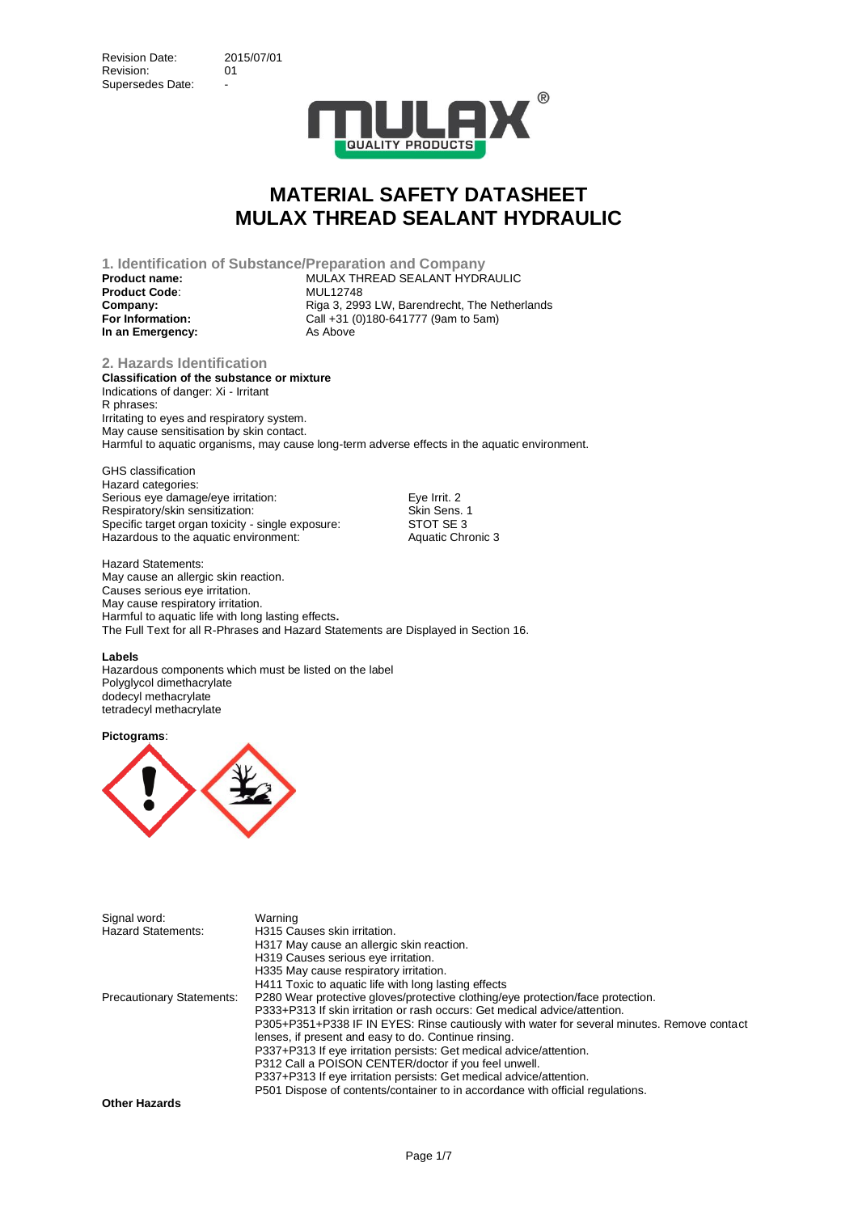

**1. Identification of Substance/Preparation and Company Product name:** MULAX THREAD SEALANT HYDRAULIC **Product Code: Company:** Company: Riga 3, 2993 LW, Barendrecht, The Netherlands **For Information:** Call +31 (0)180-641777 (9am to 5am)<br> **In an Emergency:** As Above **In an Emergency:** 

**2. Hazards Identification Classification of the substance or mixture** Indications of danger: Xi - Irritant R phrases: Irritating to eyes and respiratory system. May cause sensitisation by skin contact. Harmful to aquatic organisms, may cause long-term adverse effects in the aquatic environment.

GHS classification Hazard categories: Serious eye damage/eye irritation: Eye Irrit. 2<br>
Respiratory/skin sensitization: Skin Sens. 1 Respiratory/skin sensitization: Skin Sens.<br>1999: Specific target organ toxicity - single exposure: STOT SE Specific target organ toxicity - single exposure: Hazardous to the aquatic environment: Aquatic Chronic 3

Hazard Statements: May cause an allergic skin reaction. Causes serious eye irritation. May cause respiratory irritation. Harmful to aquatic life with long lasting effects**.** The Full Text for all R-Phrases and Hazard Statements are Displayed in Section 16.

#### **Labels**

Hazardous components which must be listed on the label Polyglycol dimethacrylate dodecyl methacrylate tetradecyl methacrylate

**Pictograms**:



| Signal word:                     | Warning                                                                                    |
|----------------------------------|--------------------------------------------------------------------------------------------|
| <b>Hazard Statements:</b>        | H315 Causes skin irritation.                                                               |
|                                  | H317 May cause an allergic skin reaction.                                                  |
|                                  | H319 Causes serious eye irritation.                                                        |
|                                  | H335 May cause respiratory irritation.                                                     |
|                                  | H411 Toxic to aquatic life with long lasting effects                                       |
| <b>Precautionary Statements:</b> | P280 Wear protective gloves/protective clothing/eye protection/face protection.            |
|                                  | P333+P313 If skin irritation or rash occurs: Get medical advice/attention.                 |
|                                  | P305+P351+P338 IF IN EYES: Rinse cautiously with water for several minutes. Remove contact |
|                                  | lenses, if present and easy to do. Continue rinsing.                                       |
|                                  | P337+P313 If eye irritation persists: Get medical advice/attention.                        |
|                                  | P312 Call a POISON CENTER/doctor if you feel unwell.                                       |
|                                  | P337+P313 If eye irritation persists: Get medical advice/attention.                        |
|                                  | P501 Dispose of contents/container to in accordance with official regulations.             |
| Attack Hammedia                  |                                                                                            |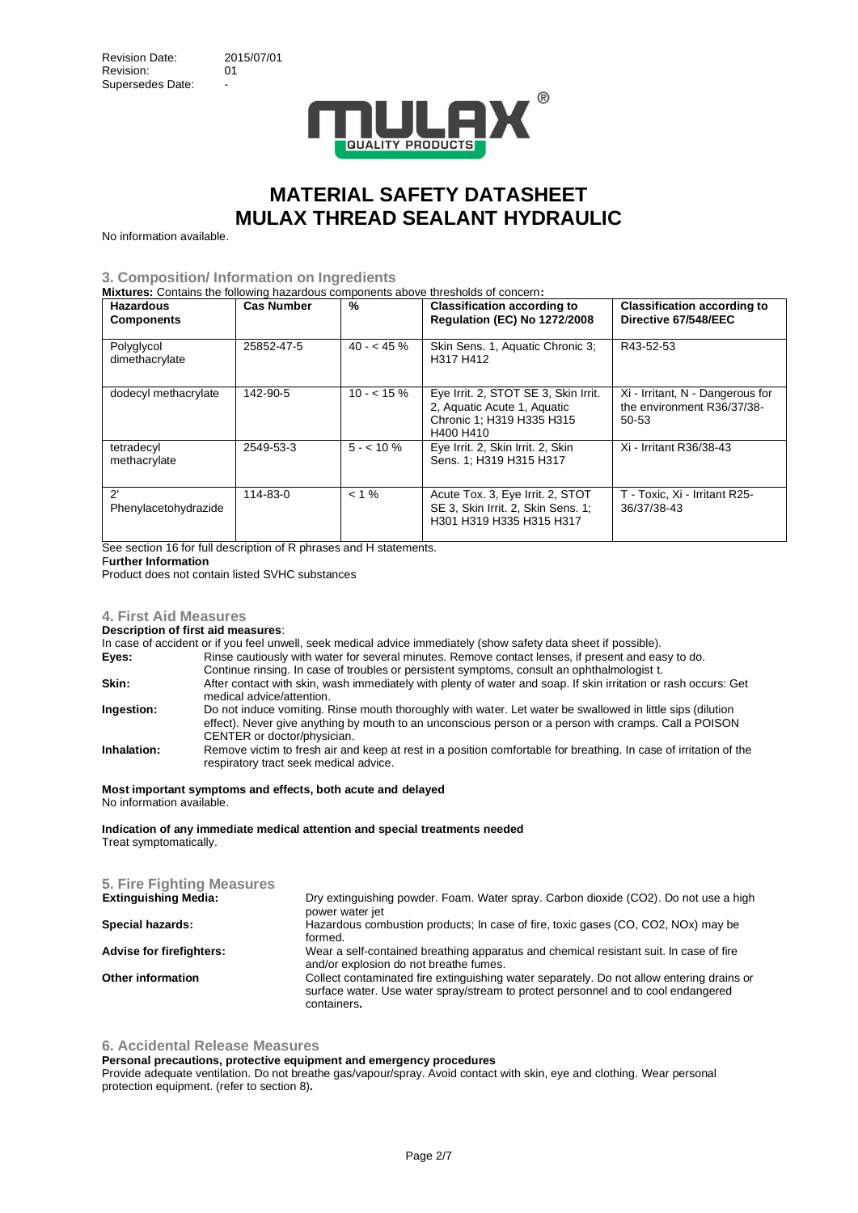

No information available.

#### **3. Composition/ Information on Ingredients**

**Mixtures:** Contains the following hazardous components above thresholds of concern**:**

| <b>Hazardous</b><br><b>Components</b> | <b>Cas Number</b> | %           | <b>Classification according to</b><br><b>Regulation (EC) No 1272/2008</b>                                     | <b>Classification according to</b><br>Directive 67/548/EEC              |
|---------------------------------------|-------------------|-------------|---------------------------------------------------------------------------------------------------------------|-------------------------------------------------------------------------|
| Polyglycol<br>dimethacrylate          | 25852-47-5        | $40 - 45\%$ | Skin Sens. 1, Aquatic Chronic 3;<br>H317 H412                                                                 | R43-52-53                                                               |
| dodecyl methacrylate                  | 142-90-5          | $10 - 15\%$ | Eye Irrit. 2, STOT SE 3, Skin Irrit.<br>2, Aquatic Acute 1, Aquatic<br>Chronic 1; H319 H335 H315<br>H400 H410 | Xi - Irritant, N - Dangerous for<br>the environment R36/37/38-<br>50-53 |
| tetradecyl<br>methacrylate            | 2549-53-3         | $5 - 10\%$  | Eye Irrit. 2, Skin Irrit. 2, Skin<br>Sens. 1: H319 H315 H317                                                  | Xi - Irritant R36/38-43                                                 |
| ?<br>Phenylacetohydrazide             | $114 - 83 - 0$    | $< 1 \%$    | Acute Tox. 3, Eye Irrit. 2, STOT<br>SE 3, Skin Irrit. 2, Skin Sens. 1:<br>H301 H319 H335 H315 H317            | T - Toxic, Xi - Irritant R25-<br>36/37/38-43                            |

See section 16 for full description of R phrases and H statements.

### F**urther Information**

Product does not contain listed SVHC substances

### **4. First Aid Measures**

**Description of first aid measures**:

In case of accident or if you feel unwell, seek medical advice immediately (show safety data sheet if possible).

**Eyes:** Rinse cautiously with water for several minutes. Remove contact lenses, if present and easy to do.

- Continue rinsing. In case of troubles or persistent symptoms, consult an ophthalmologist t.
- **Skin:** After contact with skin, wash immediately with plenty of water and soap. If skin irritation or rash occurs: Get medical advice/attention. **Ingestion:** Do not induce vomiting. Rinse mouth thoroughly with water. Let water be swallowed in little sips (dilution
- effect). Never give anything by mouth to an unconscious person or a person with cramps. Call a POISON CENTER or doctor/physician.
- **Inhalation:** Remove victim to fresh air and keep at rest in a position comfortable for breathing. In case of irritation of the respiratory tract seek medical advice.

#### **Most important symptoms and effects, both acute and delayed** No information available.

**Indication of any immediate medical attention and special treatments needed** Treat symptomatically.

#### **5. Fire Fighting Measures Extinguishing Media:** Dry extinguishing powder. Foam. Water spray. Carbon dioxide (CO2). Do not use a high power water jet **Special hazards:** Hazardous combustion products; In case of fire, toxic gases (CO, CO2, NOx) may be formed. **Advise for firefighters:** Wear a self-contained breathing apparatus and chemical resistant suit. In case of fire and/or explosion do not breathe fumes. **Other information** Collect contaminated fire extinguishing water separately. Do not allow entering drains or surface water. Use water spray/stream to protect personnel and to cool endangered containers**.**

#### **6. Accidental Release Measures**

#### **Personal precautions, protective equipment and emergency procedures**

Provide adequate ventilation. Do not breathe gas/vapour/spray. Avoid contact with skin, eye and clothing. Wear personal protection equipment. (refer to section 8)**.**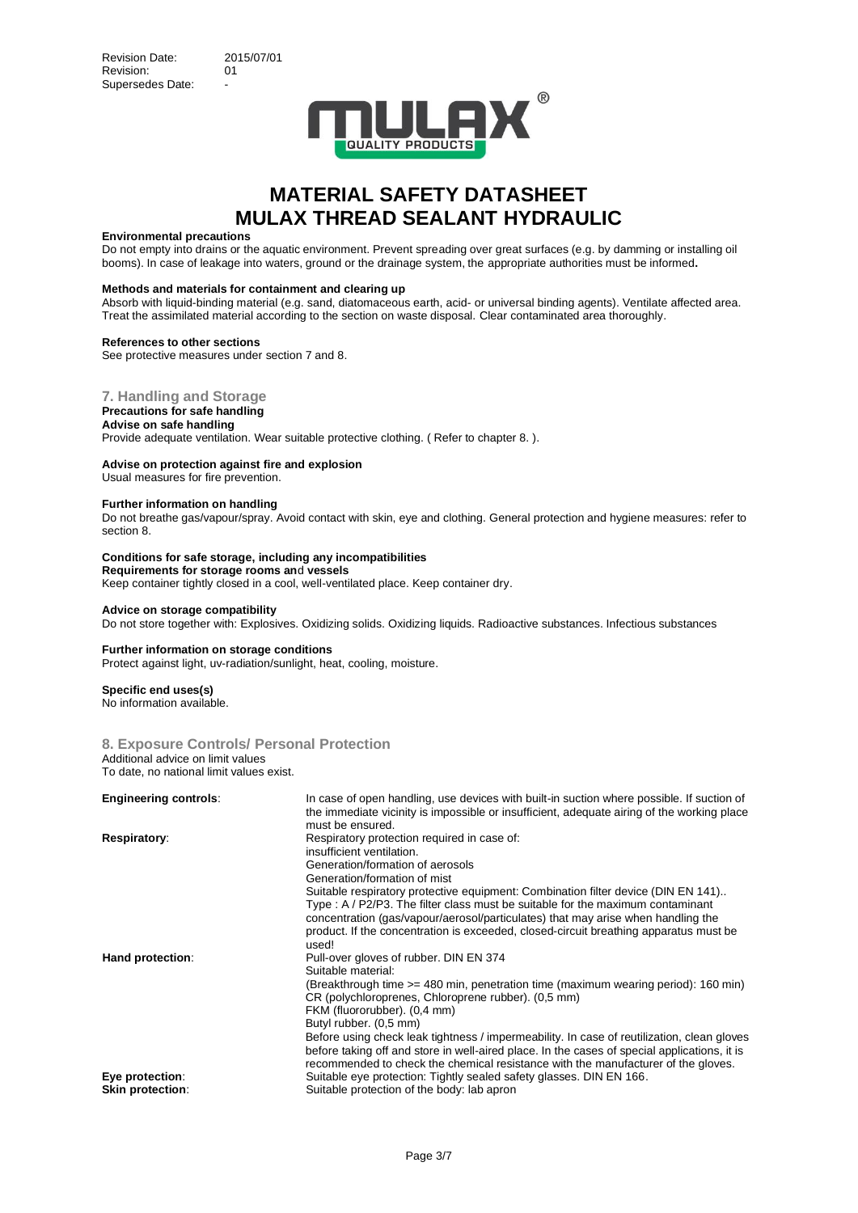

#### **Environmental precautions**

Do not empty into drains or the aquatic environment. Prevent spreading over great surfaces (e.g. by damming or installing oil booms). In case of leakage into waters, ground or the drainage system, the appropriate authorities must be informed**.**

#### **Methods and materials for containment and clearing up**

Absorb with liquid-binding material (e.g. sand, diatomaceous earth, acid- or universal binding agents). Ventilate affected area. Treat the assimilated material according to the section on waste disposal. Clear contaminated area thoroughly.

#### **References to other sections**

See protective measures under section 7 and 8.

### **7. Handling and Storage**

## **Precautions for safe handling**

**Advise on safe handling** Provide adequate ventilation. Wear suitable protective clothing. ( Refer to chapter 8. ).

### **Advise on protection against fire and explosion**

Usual measures for fire prevention.

#### **Further information on handling**

Do not breathe gas/vapour/spray. Avoid contact with skin, eye and clothing. General protection and hygiene measures: refer to section 8.

#### **Conditions for safe storage, including any incompatibilities Requirements for storage rooms an**d **vessels** Keep container tightly closed in a cool, well-ventilated place. Keep container dry.

#### **Advice on storage compatibility**

Do not store together with: Explosives. Oxidizing solids. Oxidizing liquids. Radioactive substances. Infectious substances

#### **Further information on storage conditions**

Protect against light, uv-radiation/sunlight, heat, cooling, moisture.

#### **Specific end uses(s)**

No information available.

#### **8. Exposure Controls/ Personal Protection** Additional advice on limit values To date, no national limit values exist.

| <b>Engineering controls:</b>               | In case of open handling, use devices with built-in suction where possible. If suction of<br>the immediate vicinity is impossible or insufficient, adequate airing of the working place<br>must be ensured.                                                                                                                                                                                                                                                                                                                                            |
|--------------------------------------------|--------------------------------------------------------------------------------------------------------------------------------------------------------------------------------------------------------------------------------------------------------------------------------------------------------------------------------------------------------------------------------------------------------------------------------------------------------------------------------------------------------------------------------------------------------|
| Respiratory:                               | Respiratory protection required in case of:<br>insufficient ventilation.<br>Generation/formation of aerosols                                                                                                                                                                                                                                                                                                                                                                                                                                           |
|                                            | Generation/formation of mist<br>Suitable respiratory protective equipment: Combination filter device (DIN EN 141)<br>Type: A / P2/P3. The filter class must be suitable for the maximum contaminant<br>concentration (gas/vapour/aerosol/particulates) that may arise when handling the<br>product. If the concentration is exceeded, closed-circuit breathing apparatus must be<br>used!                                                                                                                                                              |
| Hand protection:                           | Pull-over gloves of rubber. DIN EN 374<br>Suitable material:<br>(Breakthrough time >= 480 min, penetration time (maximum wearing period): 160 min)<br>CR (polychloroprenes, Chloroprene rubber). (0,5 mm)<br>FKM (fluororubber). (0,4 mm)<br>Butyl rubber. (0,5 mm)<br>Before using check leak tightness / impermeability. In case of reutilization, clean gloves<br>before taking off and store in well-aired place. In the cases of special applications, it is<br>recommended to check the chemical resistance with the manufacturer of the gloves. |
| Eye protection:<br><b>Skin protection:</b> | Suitable eye protection: Tightly sealed safety glasses. DIN EN 166.<br>Suitable protection of the body: lab apron                                                                                                                                                                                                                                                                                                                                                                                                                                      |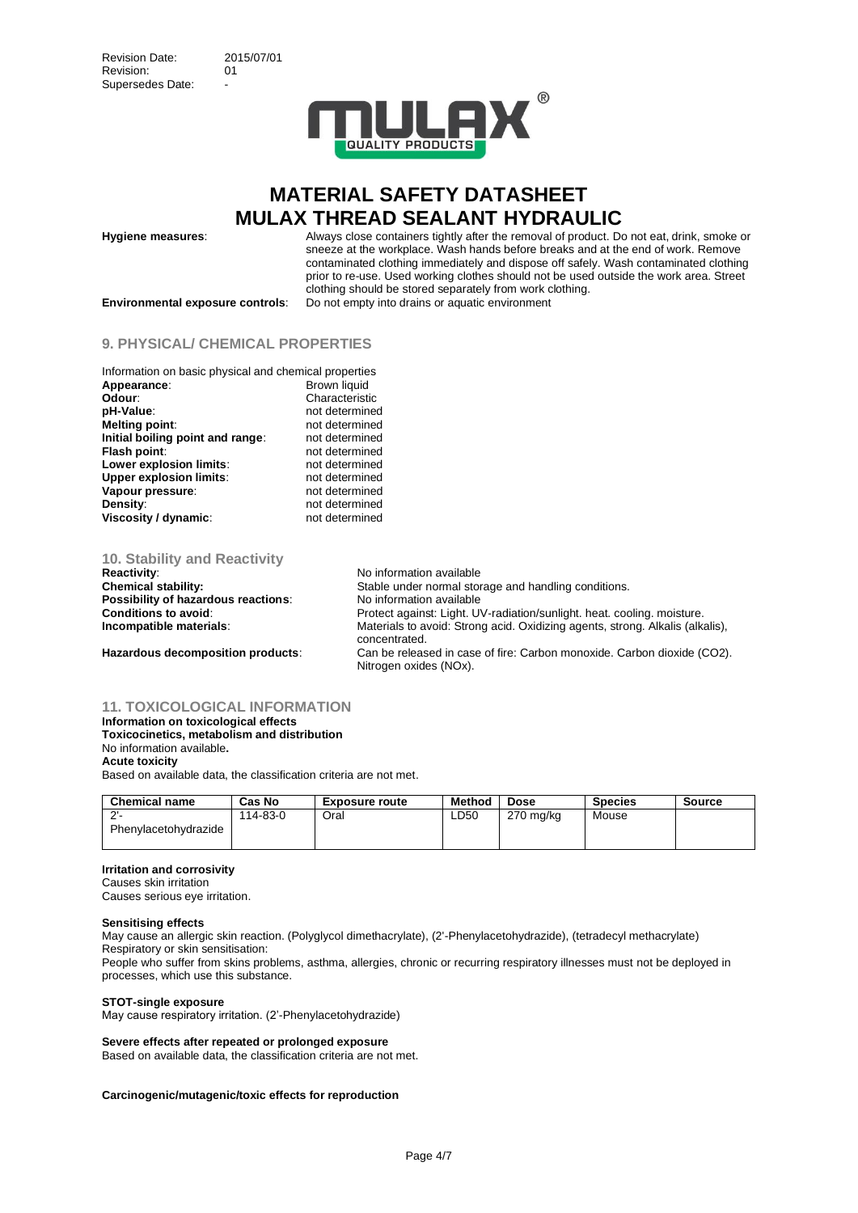

**Hygiene measures**: Always close containers tightly after the removal of product. Do not eat, drink, smoke or sneeze at the workplace. Wash hands before breaks and at the end of work. Remove contaminated clothing immediately and dispose off safely. Wash contaminated clothing prior to re-use. Used working clothes should not be used outside the work area. Street clothing should be stored separately from work clothing.

**Environmental exposure controls**: Do not empty into drains or aquatic environment

# **9. PHYSICAL/ CHEMICAL PROPERTIES**

| Information on basic physical and chemical properties |                |
|-------------------------------------------------------|----------------|
| Appearance:                                           | Brown liquid   |
| Odour:                                                | Characteristic |
| pH-Value:                                             | not determined |
| <b>Melting point:</b>                                 | not determined |
| Initial boiling point and range:                      | not determined |
| Flash point:                                          | not determined |
| Lower explosion limits:                               | not determined |
| <b>Upper explosion limits:</b>                        | not determined |
| Vapour pressure:                                      | not determined |
| Density:                                              | not determined |
| Viscosity / dynamic:                                  | not determined |

**10. Stability and Reactivity**

**Possibility of hazardous reactions:** No information available

**No information available Chemical stability:** Stable under normal storage and handling conditions. **Conditions to avoid:** Protect against: Light. UV-radiation/sunlight. heat. cooling. moisture.<br> **Conditions in the materials:** Materials to avoid: Strong acid. Oxidizing agents. strong. Alkalis (alka Materials to avoid: Strong acid. Oxidizing agents, strong. Alkalis (alkalis), concentrated. **Hazardous decomposition products**: Can be released in case of fire: Carbon monoxide. Carbon dioxide (CO2). Nitrogen oxides (NOx).

#### **11. TOXICOLOGICAL INFORMATION**

### **Information on toxicological effects Toxicocinetics, metabolism and distribution** No information available**. Acute toxicity**

Based on available data, the classification criteria are not met.

| <b>Chemical name</b>             | Cas No   | <b>Exposure route</b> | <b>Method</b> | <b>Dose</b> | <b>Species</b> | <b>Source</b> |
|----------------------------------|----------|-----------------------|---------------|-------------|----------------|---------------|
| $\Omega$<br>Phenylacetohydrazide | 114-83-0 | Oral                  | ∟D50          | 270 mg/kg   | Mouse          |               |

### **Irritation and corrosivity**

Causes skin irritation Causes serious eye irritation.

#### **Sensitising effects**

May cause an allergic skin reaction. (Polyglycol dimethacrylate), (2'-Phenylacetohydrazide), (tetradecyl methacrylate) Respiratory or skin sensitisation:

People who suffer from skins problems, asthma, allergies, chronic or recurring respiratory illnesses must not be deployed in processes, which use this substance.

#### **STOT-single exposure**

May cause respiratory irritation. (2'-Phenylacetohydrazide)

#### **Severe effects after repeated or prolonged exposure**

Based on available data, the classification criteria are not met.

### **Carcinogenic/mutagenic/toxic effects for reproduction**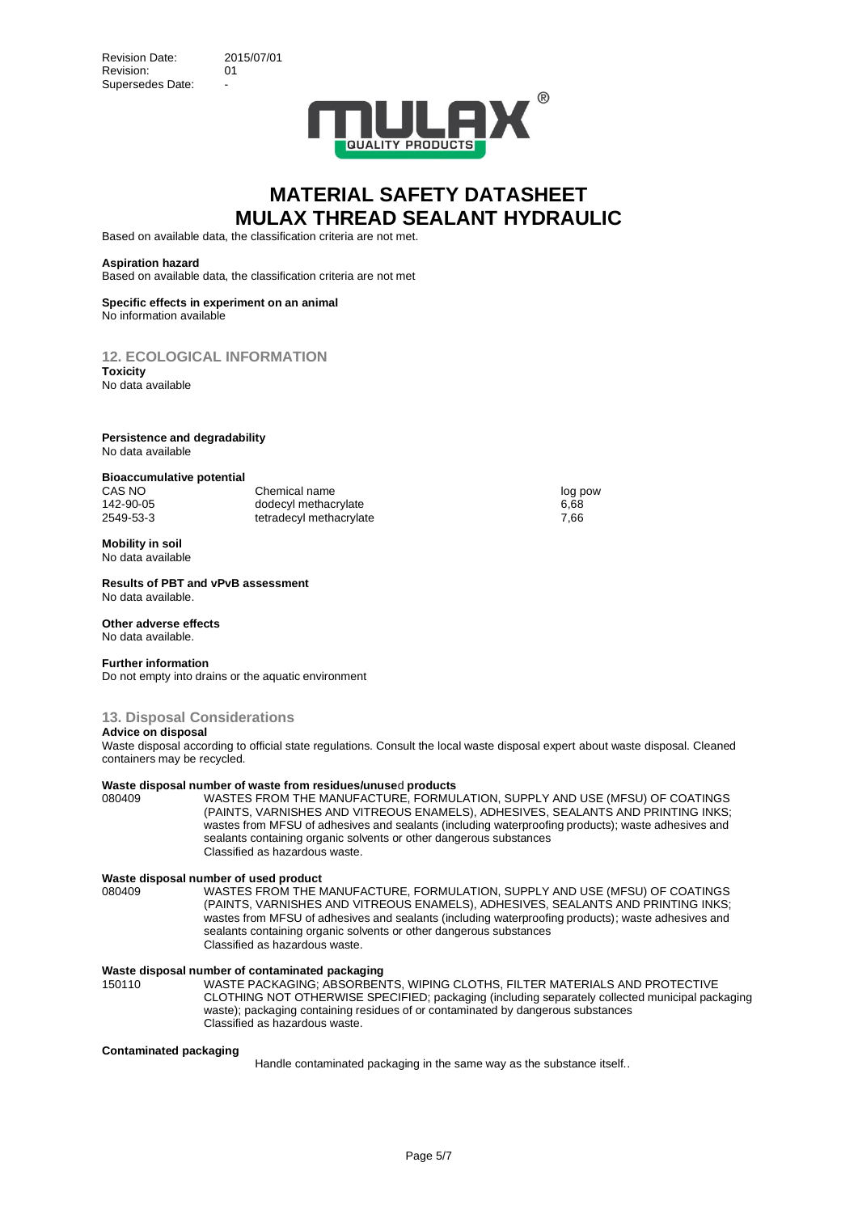

Based on available data, the classification criteria are not met.

#### **Aspiration hazard**

Based on available data, the classification criteria are not met

#### **Specific effects in experiment on an animal** No information available

**12. ECOLOGICAL INFORMATION**

**Toxicity** No data available

#### **Persistence and degradability** No data available

#### **Bioaccumulative potential**

CAS NO Chemical name log pow log pow 142-90-05 dodecyl methacrylate 6,68<br>1949-53-3 tetradecyl methacrylate 6,68<br>1,66 compared for the formulation of the compared of the compared of the compared of the compared of the compa

# **Mobility in soil**

No data available

#### **Results of PBT and vPvB assessment** No data available.

## **Other adverse effects**

No data available.

#### **Further information**

Do not empty into drains or the aquatic environment

## **13. Disposal Considerations**

### **Advice on disposal**

Waste disposal according to official state regulations. Consult the local waste disposal expert about waste disposal. Cleaned containers may be recycled.

#### **Waste disposal number of waste from residues/unuse**d **products**

tetradecyl methacrylate

080409 WASTES FROM THE MANUFACTURE, FORMULATION, SUPPLY AND USE (MFSU) OF COATINGS (PAINTS, VARNISHES AND VITREOUS ENAMELS), ADHESIVES, SEALANTS AND PRINTING INKS; wastes from MFSU of adhesives and sealants (including waterproofing products); waste adhesives and sealants containing organic solvents or other dangerous substances Classified as hazardous waste.

# **Waste disposal number of used product**

080409 WASTES FROM THE MANUFACTURE, FORMULATION, SUPPLY AND USE (MFSU) OF COATINGS (PAINTS, VARNISHES AND VITREOUS ENAMELS), ADHESIVES, SEALANTS AND PRINTING INKS; wastes from MFSU of adhesives and sealants (including waterproofing products); waste adhesives and sealants containing organic solvents or other dangerous substances Classified as hazardous waste.

# **Waste disposal number of contaminated packaging**

150110 WASTE PACKAGING; ABSORBENTS, WIPING CLOTHS, FILTER MATERIALS AND PROTECTIVE CLOTHING NOT OTHERWISE SPECIFIED; packaging (including separately collected municipal packaging waste); packaging containing residues of or contaminated by dangerous substances Classified as hazardous waste.

#### **Contaminated packaging**

Handle contaminated packaging in the same way as the substance itself..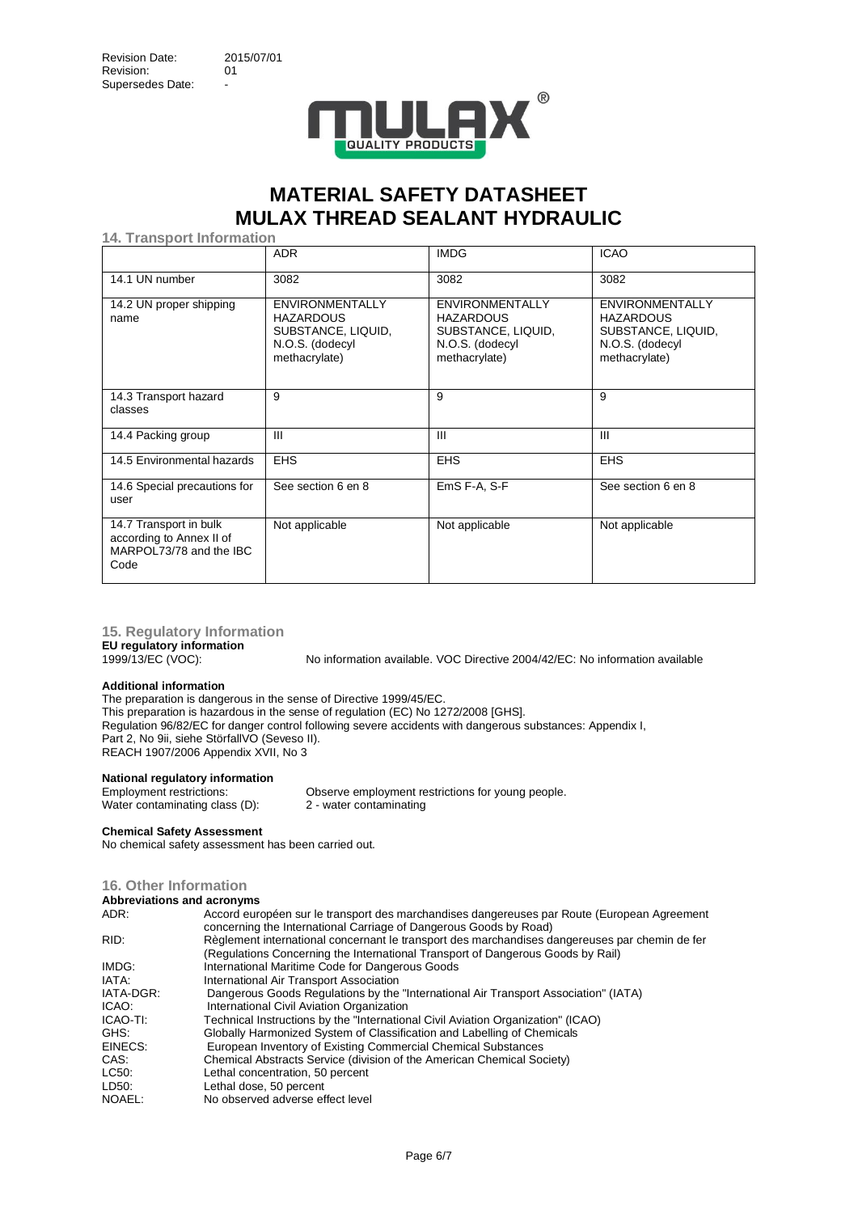

**14. Transport Information**

|                                                                                       | <b>ADR</b>                                                                                           | <b>IMDG</b>                                                                                          | <b>ICAO</b>                                                                                          |
|---------------------------------------------------------------------------------------|------------------------------------------------------------------------------------------------------|------------------------------------------------------------------------------------------------------|------------------------------------------------------------------------------------------------------|
| 14.1 UN number                                                                        | 3082                                                                                                 | 3082                                                                                                 | 3082                                                                                                 |
| 14.2 UN proper shipping<br>name                                                       | <b>ENVIRONMENTALLY</b><br><b>HAZARDOUS</b><br>SUBSTANCE, LIQUID,<br>N.O.S. (dodecyl<br>methacrylate) | <b>ENVIRONMENTALLY</b><br><b>HAZARDOUS</b><br>SUBSTANCE, LIQUID,<br>N.O.S. (dodecyl<br>methacrylate) | <b>ENVIRONMENTALLY</b><br><b>HAZARDOUS</b><br>SUBSTANCE, LIQUID,<br>N.O.S. (dodecyl<br>methacrylate) |
| 14.3 Transport hazard<br>classes                                                      | 9                                                                                                    | 9                                                                                                    | 9                                                                                                    |
| 14.4 Packing group                                                                    | Ш                                                                                                    | $\mathbf{m}$                                                                                         | $\mathbf{III}$                                                                                       |
| 14.5 Environmental hazards                                                            | <b>EHS</b>                                                                                           | <b>EHS</b>                                                                                           | <b>EHS</b>                                                                                           |
| 14.6 Special precautions for<br>user                                                  | See section 6 en 8                                                                                   | EmS F-A, S-F                                                                                         | See section 6 en 8                                                                                   |
| 14.7 Transport in bulk<br>according to Annex II of<br>MARPOL73/78 and the IBC<br>Code | Not applicable                                                                                       | Not applicable                                                                                       | Not applicable                                                                                       |

**15. Regulatory Information**

**EU regulatory information**

No information available. VOC Directive 2004/42/EC: No information available

# **Additional information**

The preparation is dangerous in the sense of Directive 1999/45/EC. This preparation is hazardous in the sense of regulation (EC) No 1272/2008 [GHS]. Regulation 96/82/EC for danger control following severe accidents with dangerous substances: Appendix I, Part 2, No 9ii, siehe StörfallVO (Seveso II). REACH 1907/2006 Appendix XVII, No 3

# **National regulatory information**

Water contaminating class (D):

Employment restrictions:<br>
Water contaminating class (D):<br>
2 - water contaminating<br>
2 - water contaminating

#### **Chemical Safety Assessment**

No chemical safety assessment has been carried out.

### **16. Other Information**

| Abbreviations and acronyms |  |  |  |
|----------------------------|--|--|--|
|----------------------------|--|--|--|

| ADDI G TIGHOIIG GING GOI ON THIS                                                                                                                                                  |
|-----------------------------------------------------------------------------------------------------------------------------------------------------------------------------------|
| Accord européen sur le transport des marchandises dangereuses par Route (European Agreement<br>concerning the International Carriage of Dangerous Goods by Road)                  |
| Règlement international concernant le transport des marchandises dangereuses par chemin de fer<br>(Regulations Concerning the International Transport of Dangerous Goods by Rail) |
| International Maritime Code for Dangerous Goods                                                                                                                                   |
| International Air Transport Association                                                                                                                                           |
| Dangerous Goods Regulations by the "International Air Transport Association" (IATA)                                                                                               |
| International Civil Aviation Organization                                                                                                                                         |
| Technical Instructions by the "International Civil Aviation Organization" (ICAO)                                                                                                  |
| Globally Harmonized System of Classification and Labelling of Chemicals                                                                                                           |
| European Inventory of Existing Commercial Chemical Substances                                                                                                                     |
| Chemical Abstracts Service (division of the American Chemical Society)                                                                                                            |
| Lethal concentration, 50 percent                                                                                                                                                  |
| Lethal dose, 50 percent                                                                                                                                                           |
| No observed adverse effect level                                                                                                                                                  |
|                                                                                                                                                                                   |